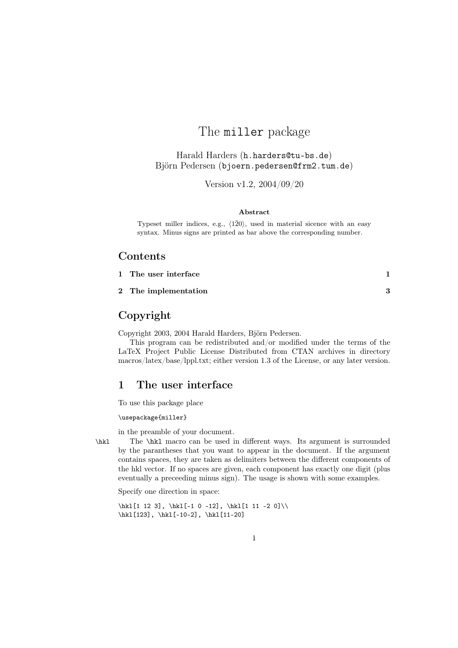# The miller package

Harald Harders (h.harders@tu-bs.de) Björn Pedersen (bjoern.pedersen@frm2.tum.de)

Version v1.2, 2004/09/20

#### Abstract

Typeset miller indices, e.g.,  $\langle 1\bar{2}0\rangle$ , used in material sicence with an easy syntax. Minus signs are printed as bar above the corresponding number.

#### Contents

| 1 The user interface |  |
|----------------------|--|
|                      |  |

2 The implementation 3

### Copyright

Copyright 2003, 2004 Harald Harders, Björn Pedersen.

This program can be redistributed and/or modified under the terms of the LaTeX Project Public License Distributed from CTAN archives in directory macros/latex/base/lppl.txt; either version 1.3 of the License, or any later version.

#### 1 The user interface

To use this package place

\usepackage{miller}

in the preamble of your document.

\hkl The \hkl macro can be used in different ways. Its argument is surrounded by the parantheses that you want to appear in the document. If the argument contains spaces, they are taken as delimiters between the different components of the hkl vector. If no spaces are given, each component has exactly one digit (plus eventually a preceeding minus sign). The usage is shown with some examples.

Specify one direction in space:

\hkl[1 12 3], \hkl[-1 0 -12], \hkl[1 11 -2 0]\\  $\hbox{\hskip 1.6pt\hskip 1.6pt\hskip 1.6pt\hskip 1.6pt\hskip 1.6pt\hskip 1.6pt\hskip 1.6pt\hskip 1.6pt\hskip 1.6pt\hskip 1.6pt\hskip 1.6pt\hskip 1.6pt\hskip 1.6pt\hskip 1.6pt\hskip 1.6pt\hskip 1.6pt\hskip 1.6pt\hskip 1.6pt\hskip 1.6pt\hskip 1.6pt\hskip 1.6pt\hskip 1.6pt\hskip 1.6pt\hskip 1.6pt\hskip 1.6pt\hskip 1.6pt\hskip 1.6pt\$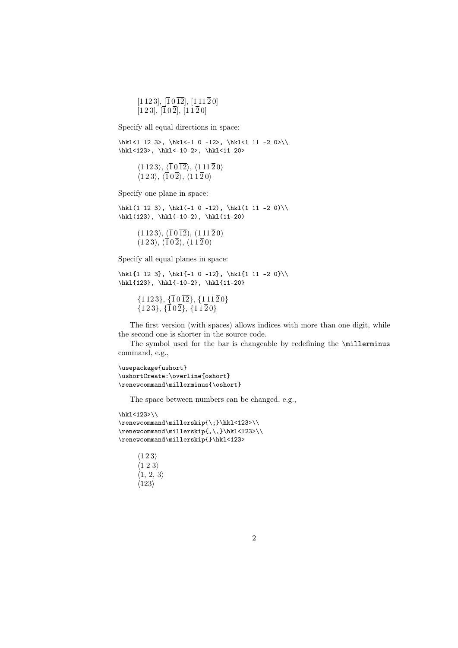$[1 1 2 3], \overline{[1} 0 \overline{12}], [1 1 1 \overline{2} 0]$  $[1 2 3], \overline{1} 0 \overline{2}], \overline{1} 1 \overline{2} 0]$ 

Specify all equal directions in space:

\hkl<1 12 3>, \hkl<-1 0 -12>, \hkl<1 11 -2 0>\\ \hkl<123>, \hkl<-10-2>, \hkl<11-20>

 $\langle 1\,12\,3 \rangle$ ,  $\langle \overline{1} \,0\, \overline{12} \rangle$ ,  $\langle 1\,11\, \overline{2} \,0 \rangle$  $\langle 1\,2\,3 \rangle, \langle \overline{1}0\,\overline{2} \rangle, \langle 1\,1\,\overline{2}0 \rangle$ 

Specify one plane in space:

 $\hkl(1 12 3), \hkl(-1 0 -12), \hkl(1 11 -2 0)\$  $\h{k1(123), \h{k1(-10-2), \h{k1(11-20)}$ 

> $(1 1 2 3), (\overline{1} 0 \overline{12}), (1 1 1 \overline{2} 0)$  $(1 2 3), (\overline{1} 0 \overline{2}), (1 1 \overline{2} 0)$

Specify all equal planes in space:

 $\h{kl{1 12 3}, \h{kl{-1 0 -12}, \h{kl{1 11 -2 0}}\$ \hkl{123}, \hkl{-10-2}, \hkl{11-20}

> $\{1\,12\,3\},\,\{\overline{1}\,0\,\overline{12}\},\,\{1\,11\,\overline{2}\,0\}$  $\{1\,2\,3\},\,\{\overline{1}\,0\,\overline{2}\},\,\{1\,1\,\overline{2}\,0\}$

The first version (with spaces) allows indices with more than one digit, while the second one is shorter in the source code.

The symbol used for the bar is changeable by redefining the \millerminus command, e.g.,

```
\usepackage{ushort}
\ushortCreate:\overline{oshort}
\renewcommand\millerminus{\oshort}
```
The space between numbers can be changed, e.g.,

```
\hkl<123>\\
\renewcommand\millerskip{\;}\hkl<123>\\
\renewcommand\millerskip{,\,}\hkl<123>\\
\renewcommand\millerskip{}\hkl<123>
```

```
\langle 1\,2\,3 \rangle\langle 1~2~3 \rangle\langle 1, 2, 3 \rangle\langle 123 \rangle
```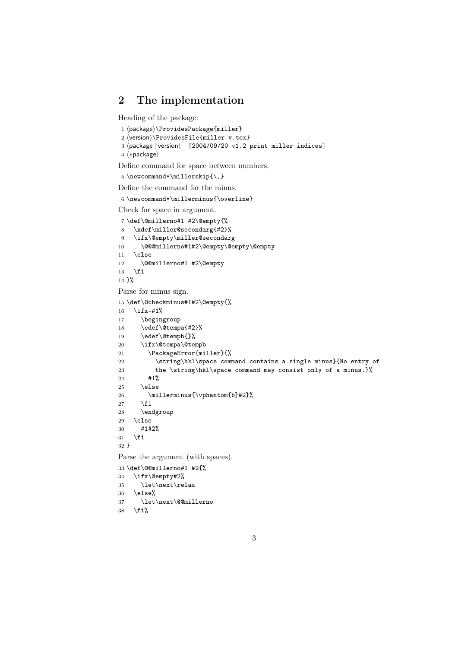### 2 The implementation

Heading of the package:

```
1 (package)\ProvidesPackage{miller}
```

```
2 \langle version \rangle \ProvidesFile{\mbox{\texttt{mil}}}\,ev.\,textrm{text}\}
```

```
3 \langlepackage | version\rangle [2004/09/20 v1.2 print miller indices]
```
4  $\langle *package \rangle$ 

Define command for space between numbers.

```
5\newcommand*\millerskip{\,}
```
Define the command for the minus.

 $6 \neq$ command\*\millerminus{\overline}

Check for space in argument.

```
7 \def\@millerno#1 #2\@empty{%
8 \xdef\miller@secondarg{#2}%
9 \ifx\@empty\miller@secondarg
10 \@@@millerno#1#2\@empty\@empty\@empty
11 \else
12 \@@millerno#1 #2\@empty
13 \overrightarrow{fi}14 }%
Parse for minus sign.
15 \def\@checkminus#1#2\@empty{%
16 \ifx-#1%
17 \begingroup
18 \edef\@tempa{#2}%
19 \edef\@tempb{}%
20 \ifx\@tempa\@tempb
21 \PackageError{miller}{%
22 \string\hkl\space command contains a single minus}{No entry of
23 the \string\hkl\space command may consist only of a minus.}%
24 #1%
25 \else
26 \millerminus{\vphantom{b}#2}%
27 \foralli
28 \endgroup
29 \else
30 #1#2%
31 \quad \text{if}32 }
Parse the argument (with spaces).
33 \def\@@millerno#1 #2{%
34 \ifx\@empty#2%
35 \let\next\relax
36 \else%
37 \let\next\@@millerno
```
38 \fi%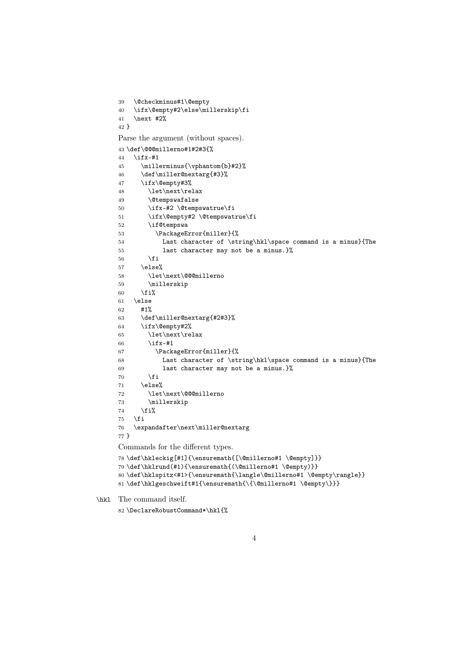```
39 \@checkminus#1\@empty
     40 \ifx\@empty#2\else\millerskip\fi
     41 \next #2%
     42 }
     Parse the argument (without spaces).
     43 \def\@@@millerno#1#2#3{%
     44 \ifx-#1
     45 \millerminus{\vphantom{b}#2}%
     46 \def\miller@nextarg{#3}%
     47 \ifx\@empty#3%
     48 \let\next\relax
     49 \@tempswafalse
     50 \ifx-#2 \@tempswatrue\fi
     51 \ifx\@empty#2 \@tempswatrue\fi
     52 \if@tempswa
     53 \PackageError{miller}{%
     54 Last character of \string\hkl\space command is a minus}{The
     55 last character may not be a minus.}%
     56 \fi
     57 \else%
     58 \let\next\@@@millerno
     59 \millerskip
     60 \overline{\text{f}i\text{}}61 \else
     62 #1%
     63 \def\miller@nextarg{#2#3}%
     64 \ifx\@empty#2%
     65 \let\next\relax
     66 \iint x - #167 \PackageError{miller}{%
     68 Last character of \string\hkl\space command is a minus}{The
     69 last character may not be a minus.}%
     70 \forallfi
     71 \qquad \text{leless}72 \let\next\@@@millerno
     73 \millerskip
     74 \fi%
     75 \setminusfi
     76 \expandafter\next\miller@nextarg
     77 }
     Commands for the different types.
     78 \def\hkleckig[#1]{\ensuremath{[\@millerno#1 \@empty]}}
     79 \def\hklrund(#1){\ensuremath{(\@millerno#1 \@empty)}}
     80 \def\hklspitz<#1>{\ensuremath{\langle\@millerno#1 \@empty\rangle}}
     81 \def\hklgeschweift#1{\ensuremath{\{\@millerno#1 \@empty\}}}
\hkl The command itself.
```

```
82 \DeclareRobustCommand*\hkl{%
```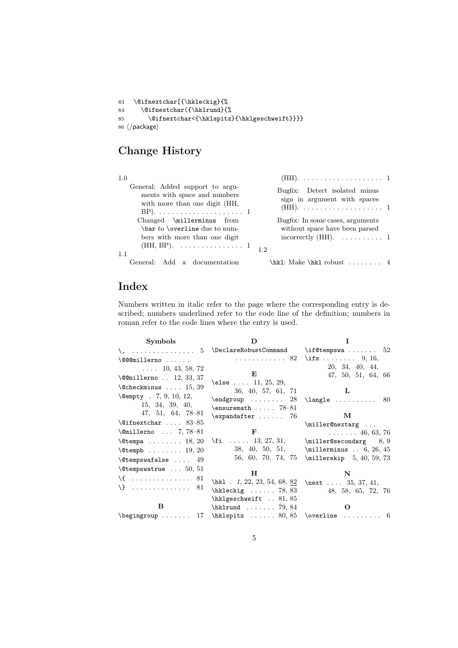```
83 \@ifnextchar[{\hkleckig}{%
84 \@ifnextchar({\hklrund}{%
85 \@ifnextchar<{\hklspitz}{\hklgeschweift}}}}
86 \langle/package\rangle
```
# Change History

| 1.0                                                                                              |                                                               |  |
|--------------------------------------------------------------------------------------------------|---------------------------------------------------------------|--|
| General: Added support to argu-<br>ments with space and numbers<br>with more than one digit (HH, | Bugfix: Detect isolated minus<br>sign in argument with spaces |  |
| Changed \millerminus from                                                                        | Bugfix: In some cases, arguments                              |  |
| \bar to \overline due to num-                                                                    | without space have been parsed                                |  |
| bers with more than one digit                                                                    | incorrectly (HH). $\dots \dots \dots 1$                       |  |
| (HH, BP). 1 12                                                                                   |                                                               |  |
| 1.1                                                                                              |                                                               |  |
| General: Add a documentation                                                                     | \hk1: Make \hk1 robust  4                                     |  |

## Index

Numbers written in italic refer to the page where the corresponding entry is described; numbers underlined refer to the code line of the definition; numbers in roman refer to the code lines where the entry is used.

| Symbols                               | D                                                                                                                                                                          |                                                    |
|---------------------------------------|----------------------------------------------------------------------------------------------------------------------------------------------------------------------------|----------------------------------------------------|
|                                       |                                                                                                                                                                            |                                                    |
| $\setminus$ @@@millerno               |                                                                                                                                                                            | 82 \ifx  9, 16,                                    |
| $\ldots$ 10, 43, 58, 72               |                                                                                                                                                                            | 20, 34, 40, 44,                                    |
| $\textcirc$ 12, 33, 37                | E                                                                                                                                                                          | 47, 50, 51, 64, 66                                 |
| $\text{Ccheckminus} \dots 15, 39$     | \else  11, 25, 29,                                                                                                                                                         |                                                    |
| $\text{Qempty}$ . 7, 9, 10, 12,       | 36, 40, 57, 61, 71                                                                                                                                                         | L                                                  |
| 15, 34, 39, 40,                       | $\end{group} \dots \dots \qquad 28 \land \land \ldots \dots \qquad 80$                                                                                                     |                                                    |
| $47, 51, 64, 78-81$                   | $\text{t}$ $78-81$                                                                                                                                                         |                                                    |
| $\text{Qifnextchar} \dots 83-85$      | $\text{expandafter} \dots \dots \quad 76$                                                                                                                                  | М                                                  |
|                                       |                                                                                                                                                                            | \miller@nextarg                                    |
| $\text{\&\quad} \ldots 7, 78-81$      | $\mathbf F$                                                                                                                                                                | $\ldots \ldots 46, 63, 76$                         |
| $\text{Cetempa} \ldots \ldots 18, 20$ | $\setminus$ fi  13, 27, 31, $\setminus$ miller@secondarg 8, 9                                                                                                              |                                                    |
| $\text{Ctempb}$ 19, 20                |                                                                                                                                                                            | 38, 40, 50, 51, $\text{11erminus} \dots 6, 26, 45$ |
| $\text{C}$ tempswafalse  49           |                                                                                                                                                                            | 56, 60, 70, 74, 75 \millerskip 5, 40, 59, 73       |
| $\text{\&}$ Ctempswatrue  50, 51      | н                                                                                                                                                                          |                                                    |
| $\{ \ldots, \ldots, \ldots, 81 \}$    |                                                                                                                                                                            | N                                                  |
|                                       | \hkl . 1, 22, 23, 54, 68, $82$ \next 35, 37, 41,                                                                                                                           |                                                    |
|                                       | $\hbox{\tt hkleckig} \dots 78, 83$                                                                                                                                         | 48, 58, 65, 72, 76                                 |
|                                       | $\hbar$ lgeschweift $\ldots$ 81,85                                                                                                                                         |                                                    |
| В                                     | $hklrund \ldots 79, 84$                                                                                                                                                    | Ω                                                  |
|                                       | $\begin{array}{ccc}\n\begin{array}{ccc}\n\end{array} \quad \text{array} \quad 17 \quad \text{limits} \quad 80, 85 \quad \text{overline} \quad \ldots \quad 6\n\end{array}$ |                                                    |